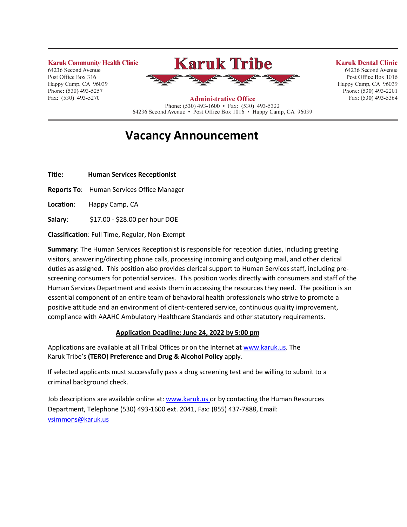**Karuk Community Health Clinic** 64236 Second Avenue Post Office Box 316 Happy Camp, CA 96039 Phone: (530) 493-5257 Fax: (530) 493-5270



### **Karuk Dental Clinic**

64236 Second Avenue Post Office Box 1016 Happy Camp, CA 96039 Phone: (530) 493-2201 Fax: (530) 493-5364

**Administrative Office** Phone: (530) 493-1600 • Fax: (530) 493-5322 64236 Second Avenue • Post Office Box 1016 • Happy Camp, CA 96039

# **Vacancy Announcement**

**Title: Human Services Receptionist**

**Reports To**: Human Services Office Manager

**Location**: Happy Camp, CA

**Salary**: \$17.00 - \$28.00 per hour DOE

**Classification**: Full Time, Regular, Non-Exempt

**Summary**: The Human Services Receptionist is responsible for reception duties, including greeting visitors, answering/directing phone calls, processing incoming and outgoing mail, and other clerical duties as assigned. This position also provides clerical support to Human Services staff, including prescreening consumers for potential services. This position works directly with consumers and staff of the Human Services Department and assists them in accessing the resources they need. The position is an essential component of an entire team of behavioral health professionals who strive to promote a positive attitude and an environment of client-centered service, continuous quality improvement, compliance with AAAHC Ambulatory Healthcare Standards and other statutory requirements.

## **Application Deadline: June 24, 2022 by 5:00 pm**

Applications are available at all Tribal Offices or on the Internet a[t www.karuk.us.](http://www.karuk.us/) The Karuk Tribe's **(TERO) Preference and Drug & Alcohol Policy** apply.

If selected applicants must successfully pass a drug screening test and be willing to submit to a criminal background check.

Job descriptions are available online at[: www.karuk.us](http://www.karuk.us/) or by contacting the Human Resources Department, Telephone (530) 493-1600 ext. 2041, Fax: (855) 437-7888, Email: [vsimmons@karuk.us](mailto:vsimmons@karuk.us)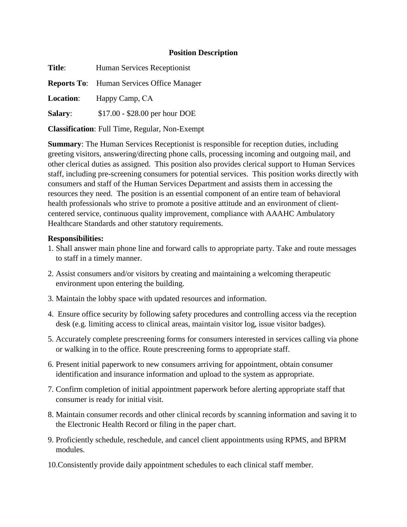## **Position Description**

**Title:** Human Services Receptionist **Reports To**: Human Services Office Manager **Location**: Happy Camp, CA **Salary:** \$17.00 - \$28.00 per hour DOE

**Classification**: Full Time, Regular, Non-Exempt

**Summary**: The Human Services Receptionist is responsible for reception duties, including greeting visitors, answering/directing phone calls, processing incoming and outgoing mail, and other clerical duties as assigned. This position also provides clerical support to Human Services staff, including pre-screening consumers for potential services. This position works directly with consumers and staff of the Human Services Department and assists them in accessing the resources they need. The position is an essential component of an entire team of behavioral health professionals who strive to promote a positive attitude and an environment of clientcentered service, continuous quality improvement, compliance with AAAHC Ambulatory Healthcare Standards and other statutory requirements.

## **Responsibilities:**

- 1. Shall answer main phone line and forward calls to appropriate party. Take and route messages to staff in a timely manner.
- 2. Assist consumers and/or visitors by creating and maintaining a welcoming therapeutic environment upon entering the building.
- 3. Maintain the lobby space with updated resources and information.
- 4. Ensure office security by following safety procedures and controlling access via the reception desk (e.g. limiting access to clinical areas, maintain visitor log, issue visitor badges).
- 5. Accurately complete prescreening forms for consumers interested in services calling via phone or walking in to the office. Route prescreening forms to appropriate staff.
- 6. Present initial paperwork to new consumers arriving for appointment, obtain consumer identification and insurance information and upload to the system as appropriate.
- 7. Confirm completion of initial appointment paperwork before alerting appropriate staff that consumer is ready for initial visit.
- 8. Maintain consumer records and other clinical records by scanning information and saving it to the Electronic Health Record or filing in the paper chart.
- 9. Proficiently schedule, reschedule, and cancel client appointments using RPMS, and BPRM modules.
- 10.Consistently provide daily appointment schedules to each clinical staff member.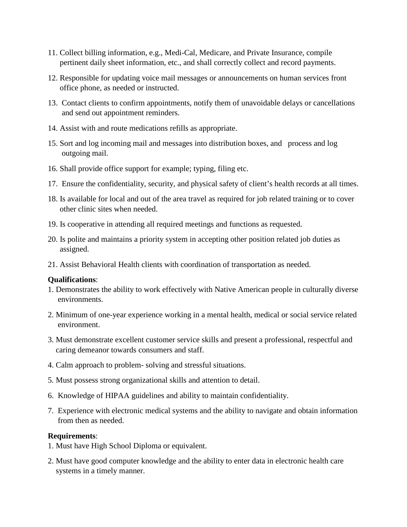- 11. Collect billing information, e.g., Medi-Cal, Medicare, and Private Insurance, compile pertinent daily sheet information, etc., and shall correctly collect and record payments.
- 12. Responsible for updating voice mail messages or announcements on human services front office phone, as needed or instructed.
- 13. Contact clients to confirm appointments, notify them of unavoidable delays or cancellations and send out appointment reminders.
- 14. Assist with and route medications refills as appropriate.
- 15. Sort and log incoming mail and messages into distribution boxes, and process and log outgoing mail.
- 16. Shall provide office support for example; typing, filing etc.
- 17. Ensure the confidentiality, security, and physical safety of client's health records at all times.
- 18. Is available for local and out of the area travel as required for job related training or to cover other clinic sites when needed.
- 19. Is cooperative in attending all required meetings and functions as requested.
- 20. Is polite and maintains a priority system in accepting other position related job duties as assigned.
- 21. Assist Behavioral Health clients with coordination of transportation as needed.

### **Qualifications**:

- 1. Demonstrates the ability to work effectively with Native American people in culturally diverse environments.
- 2. Minimum of one-year experience working in a mental health, medical or social service related environment.
- 3. Must demonstrate excellent customer service skills and present a professional, respectful and caring demeanor towards consumers and staff.
- 4. Calm approach to problem- solving and stressful situations.
- 5. Must possess strong organizational skills and attention to detail.
- 6. Knowledge of HIPAA guidelines and ability to maintain confidentiality.
- 7. Experience with electronic medical systems and the ability to navigate and obtain information from then as needed.

### **Requirements**:

- 1. Must have High School Diploma or equivalent.
- 2. Must have good computer knowledge and the ability to enter data in electronic health care systems in a timely manner.